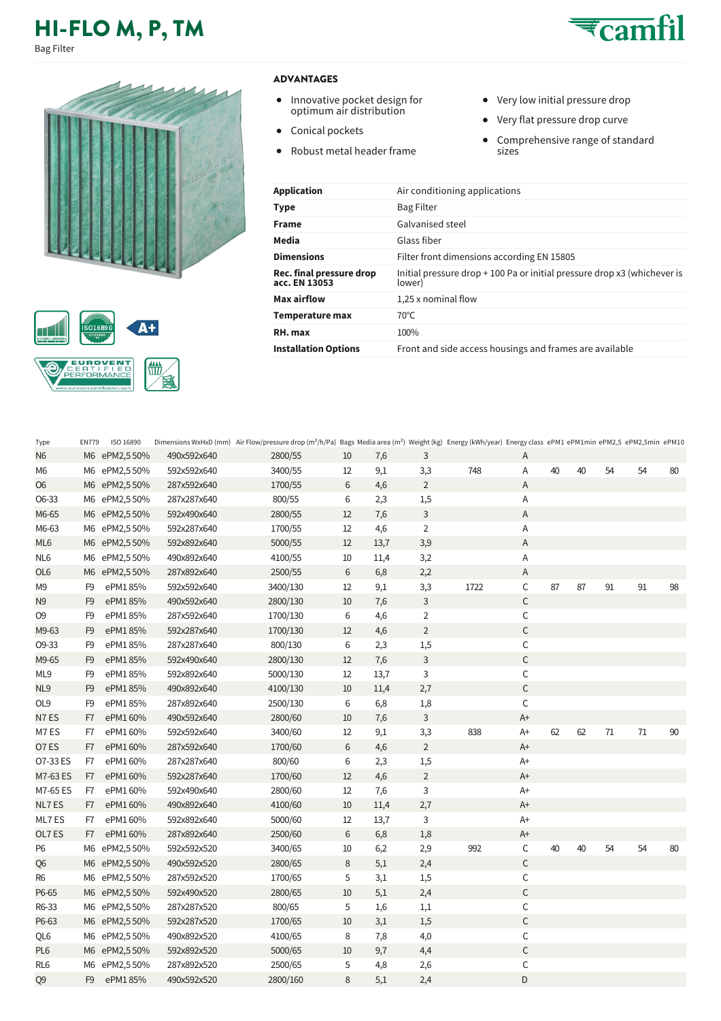## **HI-FLO M, P, TM**

Bag Filter





## **ADVANTAGES**

- Innovative pocket design for optimum air distribution
- Conical pockets  $\bullet$
- $\bullet$ Robust metal header frame
- Very low initial pressure drop
- Very flat pressure drop curve
- Comprehensive range of standard sizes

| Application                               | Air conditioning applications                                                      |
|-------------------------------------------|------------------------------------------------------------------------------------|
| Type                                      | <b>Bag Filter</b>                                                                  |
| <b>Frame</b>                              | Galvanised steel                                                                   |
| Media                                     | Glass fiber                                                                        |
| <b>Dimensions</b>                         | Filter front dimensions according EN 15805                                         |
| Rec. final pressure drop<br>acc. EN 13053 | Initial pressure drop + 100 Pa or initial pressure drop x3 (whichever is<br>lower) |
| Max airflow                               | 1,25 x nominal flow                                                                |
| Temperature max                           | $70^{\circ}$ C                                                                     |
| RH. max                                   | 100%                                                                               |
| <b>Installation Options</b>               | Front and side access housings and frames are available                            |
|                                           |                                                                                    |

| Type            | <b>EN779</b>   | ISO 16890    |             | Dimensions WxHxD (mm) Air Flow/pressure drop (m <sup>3</sup> /h/Pa) Bags Media area (m <sup>2</sup> ) Weight (kg) Energy (kWh/year) Energy class ePM1 ePM1min ePM2,5 ePM2,5min ePM10 |                 |      |                |      |             |    |    |        |        |        |
|-----------------|----------------|--------------|-------------|--------------------------------------------------------------------------------------------------------------------------------------------------------------------------------------|-----------------|------|----------------|------|-------------|----|----|--------|--------|--------|
| N <sub>6</sub>  |                | M6 ePM2,550% | 490x592x640 | 2800/55                                                                                                                                                                              | 10              | 7,6  | 3              |      | Α           |    |    |        |        |        |
| M6              |                | M6 ePM2,550% | 592x592x640 | 3400/55                                                                                                                                                                              | 12              | 9,1  | 3,3            | 748  | Α           | 40 | 40 | 54     | 54     | 80     |
| O <sub>6</sub>  |                | M6 ePM2,550% | 287x592x640 | 1700/55                                                                                                                                                                              | $\,6$           | 4,6  | $\overline{2}$ |      | Α           |    |    |        |        |        |
| 06-33           |                | M6 ePM2,550% | 287x287x640 | 800/55                                                                                                                                                                               | 6               | 2,3  | 1,5            |      | Α           |    |    |        |        |        |
| M6-65           |                | M6 ePM2,550% | 592x490x640 | 2800/55                                                                                                                                                                              | 12              | 7,6  | 3              |      | Α           |    |    |        |        |        |
| M6-63           |                | M6 ePM2,550% | 592x287x640 | 1700/55                                                                                                                                                                              | 12              | 4,6  | 2              |      | Α           |    |    |        |        |        |
| ML6             |                | M6 ePM2,550% | 592x892x640 | 5000/55                                                                                                                                                                              | 12              | 13,7 | 3,9            |      | Α           |    |    |        |        |        |
| NL6             |                | M6 ePM2,550% | 490x892x640 | 4100/55                                                                                                                                                                              | $10\,$          | 11,4 | 3,2            |      | Α           |    |    |        |        |        |
| OL6             |                | M6 ePM2,550% | 287x892x640 | 2500/55                                                                                                                                                                              | $6\phantom{1}6$ | 6,8  | 2,2            |      | Α           |    |    |        |        |        |
| M <sub>9</sub>  | F <sub>9</sub> | ePM185%      | 592x592x640 | 3400/130                                                                                                                                                                             | 12              | 9,1  | 3,3            | 1722 | С           | 87 | 87 | 91     | $91\,$ | 98     |
| N <sub>9</sub>  | F <sub>9</sub> | ePM185%      | 490x592x640 | 2800/130                                                                                                                                                                             | 10              | 7,6  | 3              |      | С           |    |    |        |        |        |
| O <sub>9</sub>  | F <sub>9</sub> | ePM185%      | 287x592x640 | 1700/130                                                                                                                                                                             | 6               | 4,6  | $\overline{2}$ |      | С           |    |    |        |        |        |
| M9-63           | F <sub>9</sub> | ePM185%      | 592x287x640 | 1700/130                                                                                                                                                                             | 12              | 4,6  | $\overline{2}$ |      | С           |    |    |        |        |        |
| 09-33           | F9             | ePM185%      | 287x287x640 | 800/130                                                                                                                                                                              | 6               | 2,3  | 1,5            |      | С           |    |    |        |        |        |
| M9-65           | F <sub>9</sub> | ePM185%      | 592x490x640 | 2800/130                                                                                                                                                                             | $12\,$          | 7,6  | $\mathsf{3}$   |      | С           |    |    |        |        |        |
| ML9             | F9             | ePM185%      | 592x892x640 | 5000/130                                                                                                                                                                             | 12              | 13,7 | 3              |      | С           |    |    |        |        |        |
| NL9             | F <sub>9</sub> | ePM185%      | 490x892x640 | 4100/130                                                                                                                                                                             | $10\,$          | 11,4 | 2,7            |      | $\mathsf C$ |    |    |        |        |        |
| OL9             | F9             | ePM185%      | 287x892x640 | 2500/130                                                                                                                                                                             | 6               | 6,8  | 1,8            |      | C           |    |    |        |        |        |
| N7ES            | F7             | ePM1 60%     | 490x592x640 | 2800/60                                                                                                                                                                              | $10$            | 7,6  | 3              |      | $A+$        |    |    |        |        |        |
| M7ES            | F7             | ePM1 60%     | 592x592x640 | 3400/60                                                                                                                                                                              | 12              | 9,1  | 3,3            | 838  | $A+$        | 62 | 62 | $71\,$ | 71     | $90\,$ |
| O7 ES           | F7             | ePM1 60%     | 287x592x640 | 1700/60                                                                                                                                                                              | 6               | 4,6  | $\overline{2}$ |      | $A+$        |    |    |        |        |        |
| O7-33 ES        | F7             | ePM1 60%     | 287x287x640 | 800/60                                                                                                                                                                               | 6               | 2,3  | $1,5$          |      | $A+$        |    |    |        |        |        |
| M7-63 ES        | F7             | ePM160%      | 592x287x640 | 1700/60                                                                                                                                                                              | 12              | 4,6  | $\overline{2}$ |      | $A+$        |    |    |        |        |        |
| M7-65 ES        | F7             | ePM1 60%     | 592x490x640 | 2800/60                                                                                                                                                                              | 12              | 7,6  | 3              |      | A+          |    |    |        |        |        |
| NL7 ES          | F7             | ePM160%      | 490x892x640 | 4100/60                                                                                                                                                                              | $10$            | 11,4 | 2,7            |      | $A+$        |    |    |        |        |        |
| ML7 ES          | F7             | ePM160%      | 592x892x640 | 5000/60                                                                                                                                                                              | 12              | 13,7 | 3              |      | $A+$        |    |    |        |        |        |
| OL7 ES          | F7             | ePM1 60%     | 287x892x640 | 2500/60                                                                                                                                                                              | 6               | 6,8  | 1,8            |      | $A+$        |    |    |        |        |        |
| P <sub>6</sub>  |                | M6 ePM2,550% | 592x592x520 | 3400/65                                                                                                                                                                              | 10              | 6,2  | 2,9            | 992  | С           | 40 | 40 | 54     | 54     | 80     |
| Q <sub>6</sub>  |                | M6 ePM2,550% | 490x592x520 | 2800/65                                                                                                                                                                              | 8               | 5,1  | 2,4            |      | C           |    |    |        |        |        |
| R <sub>6</sub>  |                | M6 ePM2,550% | 287x592x520 | 1700/65                                                                                                                                                                              | 5               | 3,1  | 1,5            |      | С           |    |    |        |        |        |
| P6-65           |                | M6 ePM2,550% | 592x490x520 | 2800/65                                                                                                                                                                              | $10$            | 5,1  | 2,4            |      | C           |    |    |        |        |        |
| R6-33           |                | M6 ePM2,550% | 287x287x520 | 800/65                                                                                                                                                                               | 5               | 1,6  | 1,1            |      | С           |    |    |        |        |        |
| P6-63           |                | M6 ePM2,550% | 592x287x520 | 1700/65                                                                                                                                                                              | 10              | 3,1  | 1,5            |      | С           |    |    |        |        |        |
| QL6             |                | M6 ePM2,550% | 490x892x520 | 4100/65                                                                                                                                                                              | 8               | 7,8  | 4,0            |      | С           |    |    |        |        |        |
| PL <sub>6</sub> |                | M6 ePM2,550% | 592x892x520 | 5000/65                                                                                                                                                                              | 10              | 9,7  | 4,4            |      | С           |    |    |        |        |        |
| RL <sub>6</sub> |                | M6 ePM2,550% | 287x892x520 | 2500/65                                                                                                                                                                              | 5               | 4,8  | 2,6            |      | C           |    |    |        |        |        |
| Q <sub>9</sub>  | F9             | ePM185%      | 490x592x520 | 2800/160                                                                                                                                                                             | 8               | 5,1  | 2,4            |      | D           |    |    |        |        |        |

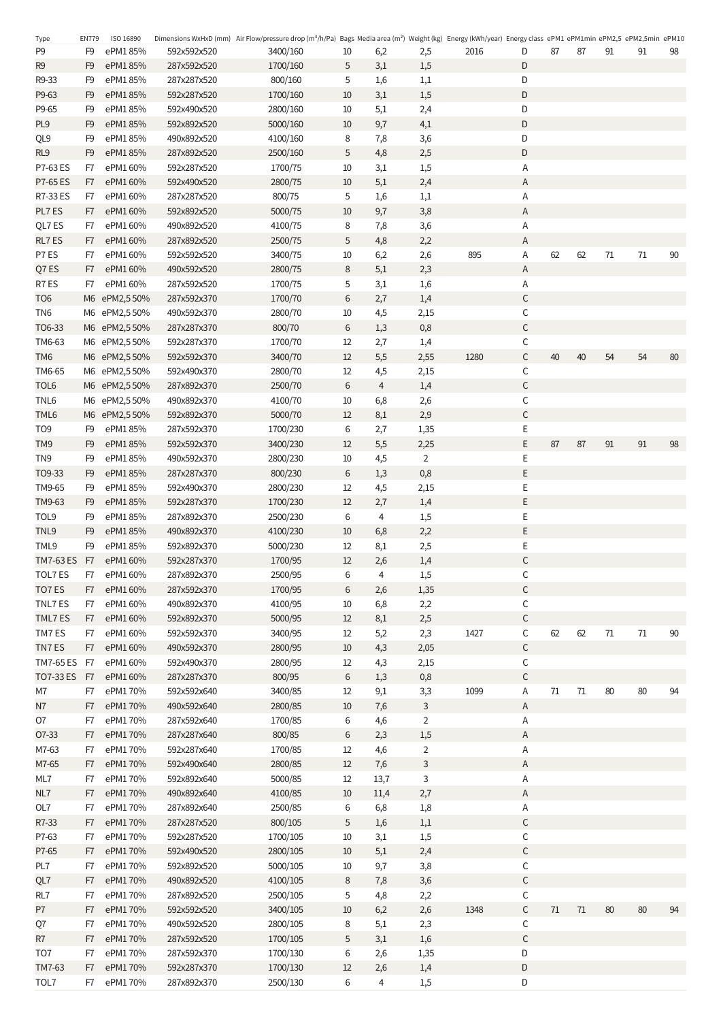| Type             | <b>EN779</b>   | ISO 16890    |             | Dimensions WxHxD (mm) Air Flow/pressure drop (m <sup>3</sup> /h/Pa) Bags Media area (m <sup>2</sup> ) Weight (kg) Energy (kWh/year) Energy class ePM1 ePM1nin ePM2,5 ePM2,5min ePM10 |            |      |                |      |   |        |        |        |      |    |
|------------------|----------------|--------------|-------------|--------------------------------------------------------------------------------------------------------------------------------------------------------------------------------------|------------|------|----------------|------|---|--------|--------|--------|------|----|
| P9               | F <sub>9</sub> | ePM185%      | 592x592x520 | 3400/160                                                                                                                                                                             | 10         | 6,2  | 2,5            | 2016 | D | 87     | 87     | 91     | 91   | 98 |
| R <sub>9</sub>   | F <sub>9</sub> | ePM185%      | 287x592x520 | 1700/160                                                                                                                                                                             | 5          | 3,1  | 1,5            |      | D |        |        |        |      |    |
| R9-33            | F <sub>9</sub> | ePM185%      | 287x287x520 | 800/160                                                                                                                                                                              | 5          | 1,6  | 1,1            |      | D |        |        |        |      |    |
| P9-63            | F <sub>9</sub> | ePM185%      | 592x287x520 | 1700/160                                                                                                                                                                             | 10         | 3,1  | 1,5            |      | D |        |        |        |      |    |
| P9-65            | F <sub>9</sub> | ePM185%      | 592x490x520 | 2800/160                                                                                                                                                                             | 10         | 5,1  | 2,4            |      | D |        |        |        |      |    |
| PL9              | F <sub>9</sub> | ePM185%      | 592x892x520 | 5000/160                                                                                                                                                                             | 10         | 9,7  | 4,1            |      | D |        |        |        |      |    |
|                  | F <sub>9</sub> | ePM185%      | 490x892x520 |                                                                                                                                                                                      |            |      |                |      |   |        |        |        |      |    |
| QL9              |                |              |             | 4100/160                                                                                                                                                                             | 8          | 7,8  | 3,6            |      | D |        |        |        |      |    |
| RL9              | F <sub>9</sub> | ePM185%      | 287x892x520 | 2500/160                                                                                                                                                                             | 5          | 4,8  | 2,5            |      | D |        |        |        |      |    |
| P7-63 ES         | F7             | ePM1 60%     | 592x287x520 | 1700/75                                                                                                                                                                              | 10         | 3,1  | 1,5            |      | Α |        |        |        |      |    |
| P7-65 ES         | F7             | ePM160%      | 592x490x520 | 2800/75                                                                                                                                                                              | 10         | 5,1  | 2,4            |      | Α |        |        |        |      |    |
| R7-33 ES         | F7             | ePM1 60%     | 287x287x520 | 800/75                                                                                                                                                                               | 5          | 1,6  | 1,1            |      | Α |        |        |        |      |    |
| PL7 ES           | F7             | ePM1 60%     | 592x892x520 | 5000/75                                                                                                                                                                              | $10$       | 9,7  | 3,8            |      | Α |        |        |        |      |    |
| QL7 ES           | F7             | ePM1 60%     | 490x892x520 | 4100/75                                                                                                                                                                              | 8          | 7,8  | 3,6            |      | Α |        |        |        |      |    |
| RL7 ES           | F7             | ePM160%      | 287x892x520 | 2500/75                                                                                                                                                                              | 5          | 4,8  | 2,2            |      | Α |        |        |        |      |    |
| P7ES             | F7             | ePM1 60%     | 592x592x520 | 3400/75                                                                                                                                                                              | 10         | 6,2  | 2,6            | 895  | Α | 62     | 62     | 71     | 71   | 90 |
| Q7 ES            | F7             | ePM160%      | 490x592x520 | 2800/75                                                                                                                                                                              | 8          | 5,1  | 2,3            |      | Α |        |        |        |      |    |
| R7ES             | F7             | ePM1 60%     | 287x592x520 | 1700/75                                                                                                                                                                              | 5          | 3,1  | 1,6            |      | Α |        |        |        |      |    |
|                  |                |              |             |                                                                                                                                                                                      |            |      |                |      |   |        |        |        |      |    |
| TO <sub>6</sub>  |                | M6 ePM2,550% | 287x592x370 | 1700/70                                                                                                                                                                              | 6          | 2,7  | 1,4            |      | С |        |        |        |      |    |
| TN6              |                | M6 ePM2,550% | 490x592x370 | 2800/70                                                                                                                                                                              | 10         | 4,5  | 2,15           |      | С |        |        |        |      |    |
| TO6-33           |                | M6 ePM2,550% | 287x287x370 | 800/70                                                                                                                                                                               | $\sqrt{6}$ | 1,3  | 0,8            |      | С |        |        |        |      |    |
| TM6-63           |                | M6 ePM2,550% | 592x287x370 | 1700/70                                                                                                                                                                              | 12         | 2,7  | 1,4            |      | С |        |        |        |      |    |
| TM6              |                | M6 ePM2,550% | 592x592x370 | 3400/70                                                                                                                                                                              | 12         | 5,5  | 2,55           | 1280 | C | 40     | 40     | 54     | 54   | 80 |
| TM6-65           |                | M6 ePM2,550% | 592x490x370 | 2800/70                                                                                                                                                                              | 12         | 4,5  | 2,15           |      | С |        |        |        |      |    |
| TOL6             |                | M6 ePM2,550% | 287x892x370 | 2500/70                                                                                                                                                                              | $6\,$      | 4    | 1,4            |      | С |        |        |        |      |    |
| TNL6             |                | M6 ePM2,550% | 490x892x370 | 4100/70                                                                                                                                                                              | 10         | 6,8  | 2,6            |      | С |        |        |        |      |    |
| TML6             |                | M6 ePM2,550% | 592x892x370 | 5000/70                                                                                                                                                                              | 12         | 8,1  | 2,9            |      | C |        |        |        |      |    |
| TO9              | F9             | ePM185%      | 287x592x370 | 1700/230                                                                                                                                                                             | 6          | 2,7  | 1,35           |      | E |        |        |        |      |    |
| TM9              | F <sub>9</sub> | ePM185%      | 592x592x370 | 3400/230                                                                                                                                                                             | 12         | 5,5  | 2,25           |      | Ε | 87     | 87     | 91     | 91   | 98 |
|                  |                |              |             |                                                                                                                                                                                      |            |      |                |      |   |        |        |        |      |    |
| TN9              | F9             | ePM185%      | 490x592x370 | 2800/230                                                                                                                                                                             | 10         | 4,5  | $\overline{2}$ |      | E |        |        |        |      |    |
| TO9-33           | F <sub>9</sub> | ePM185%      | 287x287x370 | 800/230                                                                                                                                                                              | $\sqrt{6}$ | 1,3  | 0,8            |      | E |        |        |        |      |    |
| TM9-65           | F <sub>9</sub> | ePM185%      | 592x490x370 | 2800/230                                                                                                                                                                             | 12         | 4,5  | 2,15           |      | E |        |        |        |      |    |
| TM9-63           | F <sub>9</sub> | ePM185%      | 592x287x370 | 1700/230                                                                                                                                                                             | 12         | 2,7  | 1,4            |      | E |        |        |        |      |    |
| TOL9             | F <sub>9</sub> | ePM185%      | 287x892x370 | 2500/230                                                                                                                                                                             | 6          | 4    | 1,5            |      | E |        |        |        |      |    |
| TNL9             | F <sub>9</sub> | ePM185%      | 490x892x370 | 4100/230                                                                                                                                                                             | 10         | 6,8  | 2,2            |      | Ε |        |        |        |      |    |
| TML9             | F <sub>9</sub> | ePM185%      | 592x892x370 | 5000/230                                                                                                                                                                             | 12         | 8,1  | 2,5            |      | E |        |        |        |      |    |
| TM7-63 ES        | F7             | ePM1 60%     | 592x287x370 | 1700/95                                                                                                                                                                              | 12         | 2,6  | 1,4            |      | С |        |        |        |      |    |
| TOL7 ES          | F7             | ePM1 60%     | 287x892x370 | 2500/95                                                                                                                                                                              | 6          | 4    | 1,5            |      | C |        |        |        |      |    |
| TO7 ES           | F7             | ePM160%      | 287x592x370 | 1700/95                                                                                                                                                                              | $6\,$      | 2,6  | 1,35           |      | С |        |        |        |      |    |
| TNL7 ES          | F7             | ePM1 60%     | 490x892x370 | 4100/95                                                                                                                                                                              | 10         | 6,8  | 2,2            |      | С |        |        |        |      |    |
| TML7 ES          | F7             | ePM1 60%     | 592x892x370 | 5000/95                                                                                                                                                                              | 12         | 8,1  | 2,5            |      | С |        |        |        |      |    |
|                  |                | ePM1 60%     | 592x592x370 |                                                                                                                                                                                      | 12         |      |                | 1427 |   | $62\,$ | 62     | $71\,$ |      | 90 |
| TM7 ES           | F7             |              |             | 3400/95                                                                                                                                                                              |            | 5,2  | 2,3            |      | С |        |        |        | $71$ |    |
| TN7 ES           | F7             | ePM1 60%     | 490x592x370 | 2800/95                                                                                                                                                                              | $10$       | 4,3  | 2,05           |      | С |        |        |        |      |    |
| <b>TM7-65 ES</b> | F7             | ePM1 60%     | 592x490x370 | 2800/95                                                                                                                                                                              | 12         | 4,3  | 2,15           |      | С |        |        |        |      |    |
| TO7-33 ES        | F7             | ePM1 60%     | 287x287x370 | 800/95                                                                                                                                                                               | $\,6$      | 1,3  | 0,8            |      | С |        |        |        |      |    |
| M7               | F7             | ePM170%      | 592x592x640 | 3400/85                                                                                                                                                                              | 12         | 9,1  | 3,3            | 1099 | Α | $71\,$ | $71\,$ | 80     | 80   | 94 |
| N7               | F7             | ePM170%      | 490x592x640 | 2800/85                                                                                                                                                                              | $10$       | 7,6  | 3              |      | Α |        |        |        |      |    |
| O7               | F7             | ePM170%      | 287x592x640 | 1700/85                                                                                                                                                                              | 6          | 4,6  | $\overline{2}$ |      | Α |        |        |        |      |    |
| 07-33            | F7             | ePM170%      | 287x287x640 | 800/85                                                                                                                                                                               | $\,6$      | 2,3  | 1,5            |      | Α |        |        |        |      |    |
| M7-63            | F7             | ePM170%      | 592x287x640 | 1700/85                                                                                                                                                                              | 12         | 4,6  | 2              |      | Α |        |        |        |      |    |
| M7-65            | F7             | ePM170%      | 592x490x640 | 2800/85                                                                                                                                                                              | 12         | 7,6  | 3              |      | Α |        |        |        |      |    |
| ML7              | F7             | ePM170%      | 592x892x640 | 5000/85                                                                                                                                                                              | 12         | 13,7 | 3              |      | Α |        |        |        |      |    |
| NL7              | F7             | ePM170%      | 490x892x640 | 4100/85                                                                                                                                                                              | $10$       | 11,4 | 2,7            |      | Α |        |        |        |      |    |
|                  |                |              |             |                                                                                                                                                                                      |            |      |                |      |   |        |        |        |      |    |
| OL7              | F7             | ePM170%      | 287x892x640 | 2500/85                                                                                                                                                                              | 6          | 6,8  | 1,8            |      | Α |        |        |        |      |    |
| R7-33            | F7             | ePM170%      | 287x287x520 | 800/105                                                                                                                                                                              | 5          | 1,6  | 1,1            |      | С |        |        |        |      |    |
| P7-63            | F7             | ePM170%      | 592x287x520 | 1700/105                                                                                                                                                                             | 10         | 3,1  | 1,5            |      | С |        |        |        |      |    |
| P7-65            | F7             | ePM170%      | 592x490x520 | 2800/105                                                                                                                                                                             | 10         | 5,1  | 2,4            |      | С |        |        |        |      |    |
| PL7              | F7             | ePM170%      | 592x892x520 | 5000/105                                                                                                                                                                             | 10         | 9,7  | 3,8            |      | С |        |        |        |      |    |
| QL7              | F7             | ePM170%      | 490x892x520 | 4100/105                                                                                                                                                                             | $\,8\,$    | 7,8  | 3,6            |      | С |        |        |        |      |    |
| RL7              | F7             | ePM170%      | 287x892x520 | 2500/105                                                                                                                                                                             | 5          | 4,8  | 2,2            |      | С |        |        |        |      |    |
| P7               | F7             | ePM170%      | 592x592x520 | 3400/105                                                                                                                                                                             | $10$       | 6,2  | 2,6            | 1348 | С | $71\,$ | $71\,$ | 80     | 80   | 94 |
| Q7               | F7             | ePM170%      | 490x592x520 | 2800/105                                                                                                                                                                             | 8          | 5,1  | 2,3            |      | С |        |        |        |      |    |
| R7               | F7             | ePM170%      | 287x592x520 | 1700/105                                                                                                                                                                             | 5          | 3,1  | 1,6            |      | С |        |        |        |      |    |
| TO <sub>7</sub>  | F7             | ePM170%      | 287x592x370 | 1700/130                                                                                                                                                                             | 6          | 2,6  | 1,35           |      | D |        |        |        |      |    |
|                  |                |              |             |                                                                                                                                                                                      |            |      |                |      |   |        |        |        |      |    |
| TM7-63           | F7             | ePM170%      | 592x287x370 | 1700/130                                                                                                                                                                             | $12\,$     | 2,6  | 1,4            |      | D |        |        |        |      |    |
| TOL7             | F7             | ePM170%      | 287x892x370 | 2500/130                                                                                                                                                                             | 6          | 4    | 1,5            |      | D |        |        |        |      |    |